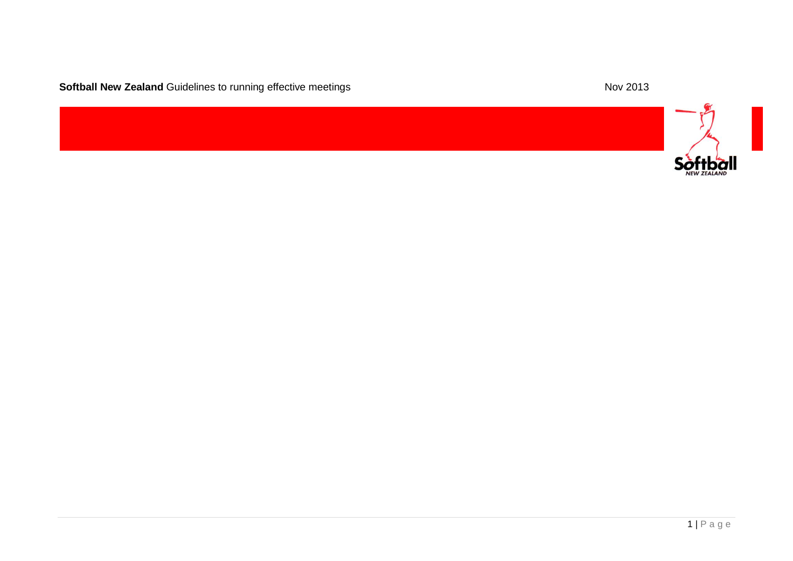**Softball New Zealand** Guidelines to running effective meetings Nov 2013

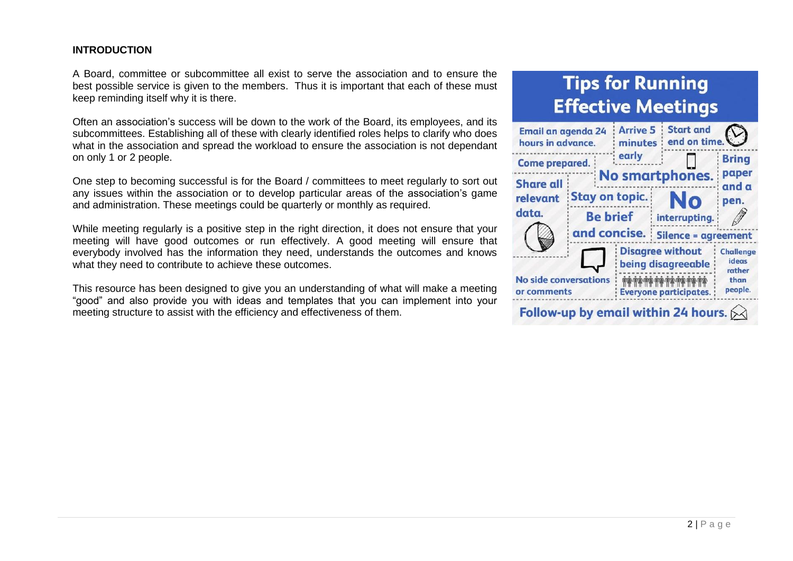#### **INTRODUCTION**

A Board, committee or subcommittee all exist to serve the association and to ensure the best possible service is given to the members. Thus it is important that each of these must keep reminding itself why it is there.

Often an association's success will be down to the work of the Board, its employees, and its subcommittees. Establishing all of these with clearly identified roles helps to clarify who does what in the association and spread the workload to ensure the association is not dependant on only 1 or 2 people.

One step to becoming successful is for the Board / committees to meet regularly to sort out any issues within the association or to develop particular areas of the association's game and administration. These meetings could be quarterly or monthly as required.

While meeting regularly is a positive step in the right direction, it does not ensure that your meeting will have good outcomes or run effectively. A good meeting will ensure that everybody involved has the information they need, understands the outcomes and knows what they need to contribute to achieve these outcomes.

This resource has been designed to give you an understanding of what will make a meeting "good" and also provide you with ideas and templates that you can implement into your meeting structure to assist with the efficiency and effectiveness of them.

# **Tips for Running Effective Meetings**

| Email an agenda 24<br>hours in advance.     |                                          | <b>Arrive 5</b><br>minutes                                                                                    | <b>Start and</b><br>end on time.              |                                                        |
|---------------------------------------------|------------------------------------------|---------------------------------------------------------------------------------------------------------------|-----------------------------------------------|--------------------------------------------------------|
| <b>Come prepared.</b>                       |                                          | early                                                                                                         |                                               | <b>Bring</b>                                           |
| <b>Share all</b><br>relevant<br>data.       | <b>Stay on topic.</b><br><b>Be brief</b> |                                                                                                               | <b>No smartphones.</b><br>No<br>interrupting. | paper<br>and a<br>pen.                                 |
|                                             | and concise.                             |                                                                                                               | Silence = agreement                           |                                                        |
| <b>No side conversations</b><br>or comments |                                          | <b>Disagree without</b><br>being disagreeable<br><u>ስት ስት ስት ስት ስት ስት ስት</u><br><b>Everyone participates.</b> |                                               | <b>Challenge</b><br>ideas<br>rather<br>than<br>people. |
| Follow-up by email within 24 hours. $6$     |                                          |                                                                                                               |                                               |                                                        |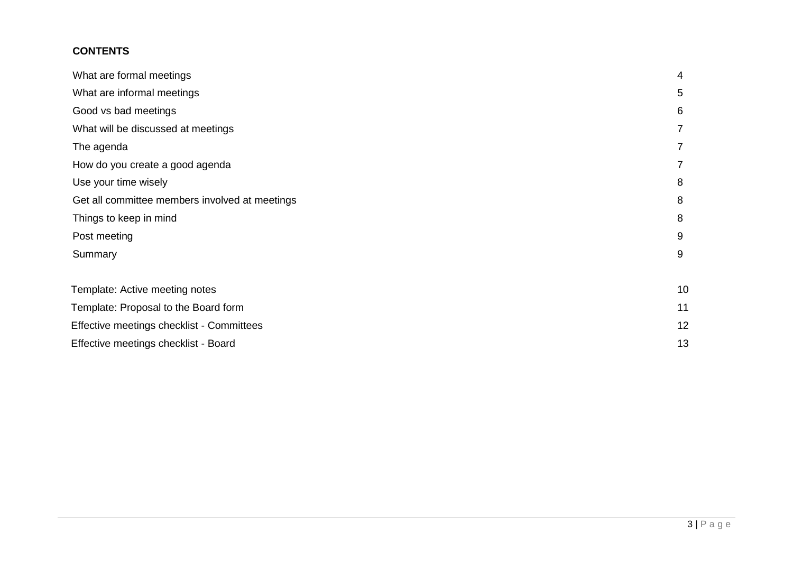# **CONTENTS**

| What are formal meetings                       | 4  |
|------------------------------------------------|----|
| What are informal meetings                     | 5  |
| Good vs bad meetings                           | 6  |
| What will be discussed at meetings             | 7  |
| The agenda                                     | 7  |
| How do you create a good agenda                | 7  |
| Use your time wisely                           | 8  |
| Get all committee members involved at meetings | 8  |
| Things to keep in mind                         | 8  |
| Post meeting                                   | 9  |
| Summary                                        | 9  |
| Template: Active meeting notes                 | 10 |
| Template: Proposal to the Board form           | 11 |
| Effective meetings checklist - Committees      |    |
| Effective meetings checklist - Board           |    |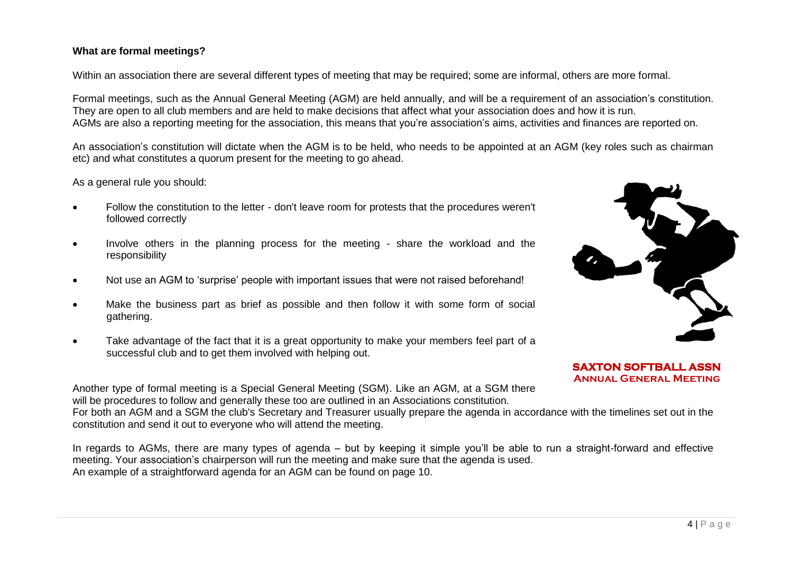### **What are formal meetings?**

Within an association there are several different types of meeting that may be required; some are informal, others are more formal.

Formal meetings, such as the Annual General Meeting (AGM) are held annually, and will be a requirement of an association's constitution. They are open to all club members and are held to make decisions that affect what your association does and how it is run. AGMs are also a reporting meeting for the association, this means that you're association's aims, activities and finances are reported on.

An association's constitution will dictate when the AGM is to be held, who needs to be appointed at an AGM (key roles such as chairman etc) and what constitutes a quorum present for the meeting to go ahead.

As a general rule you should:

- Follow the constitution to the letter don't leave room for protests that the procedures weren't followed correctly
- Involve others in the planning process for the meeting share the workload and the responsibility
- Not use an AGM to 'surprise' people with important issues that were not raised beforehand!
- Make the business part as brief as possible and then follow it with some form of social gathering.
- Take advantage of the fact that it is a great opportunity to make your members feel part of a successful club and to get them involved with helping out.



**SAXTON SOFTBALL ASSN Annual General Meeting**

Another type of formal meeting is a Special General Meeting (SGM). Like an AGM, at a SGM there will be procedures to follow and generally these too are outlined in an Associations constitution. For both an AGM and a SGM the club's Secretary and Treasurer usually prepare the agenda in accordance with the timelines set out in the

constitution and send it out to everyone who will attend the meeting.

In regards to AGMs, there are many types of agenda – but by keeping it simple you'll be able to run a straight-forward and effective meeting. Your association's chairperson will run the meeting and make sure that the agenda is used. An example of a straightforward agenda for an AGM can be found on page 10.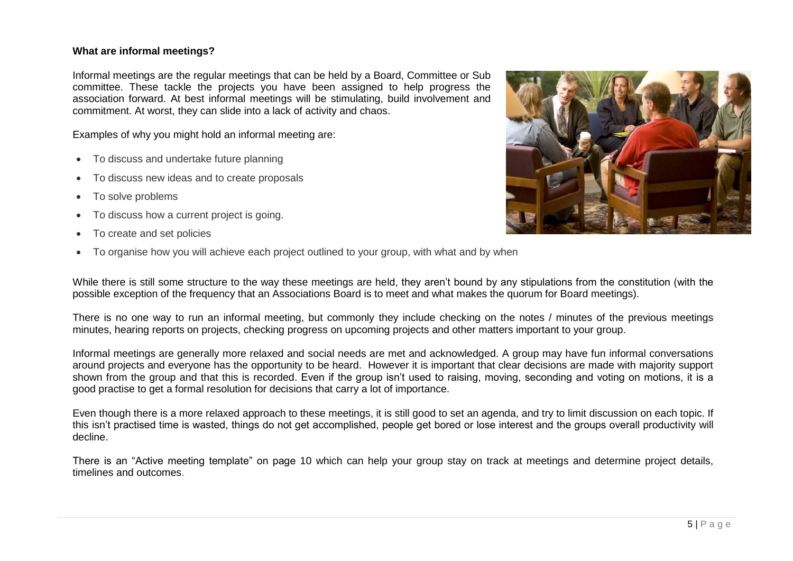#### **What are informal meetings?**

Informal meetings are the regular meetings that can be held by a Board, Committee or Sub committee. These tackle the projects you have been assigned to help progress the association forward. At best informal meetings will be stimulating, build involvement and commitment. At worst, they can slide into a lack of activity and chaos.

Examples of why you might hold an informal meeting are:

- To discuss and undertake future planning
- To discuss new ideas and to create proposals
- To solve problems
- To discuss how a current project is going.
- To create and set policies
- To organise how you will achieve each project outlined to your group, with what and by when



There is no one way to run an informal meeting, but commonly they include checking on the notes / minutes of the previous meetings minutes, hearing reports on projects, checking progress on upcoming projects and other matters important to your group.

Informal meetings are generally more relaxed and social needs are met and acknowledged. A group may have fun informal conversations around projects and everyone has the opportunity to be heard. However it is important that clear decisions are made with majority support shown from the group and that this is recorded. Even if the group isn't used to raising, moving, seconding and voting on motions, it is a good practise to get a formal resolution for decisions that carry a lot of importance.

Even though there is a more relaxed approach to these meetings, it is still good to set an agenda, and try to limit discussion on each topic. If this isn't practised time is wasted, things do not get accomplished, people get bored or lose interest and the groups overall productivity will decline.

There is an "Active meeting template" on page 10 which can help your group stay on track at meetings and determine project details, timelines and outcomes.

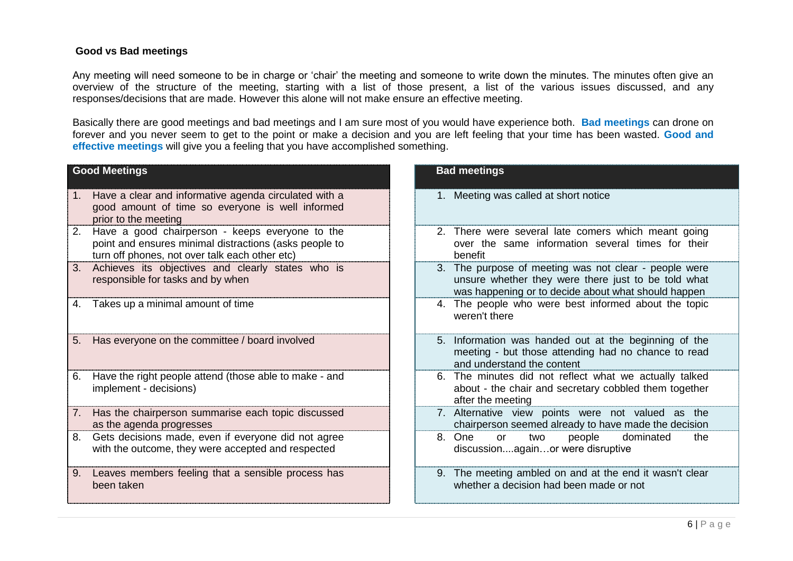#### **Good vs Bad meetings**

Any meeting will need someone to be in charge or 'chair' the meeting and someone to write down the minutes. The minutes often give an overview of the structure of the meeting, starting with a list of those present, a list of the various issues discussed, and any responses/decisions that are made. However this alone will not make ensure an effective meeting.

Basically there are good meetings and bad meetings and I am sure most of you would have experience both. **Bad meetings** can drone on forever and you never seem to get to the point or make a decision and you are left feeling that your time has been wasted. **Good and effective meetings** will give you a feeling that you have accomplished something.

| <b>Good Meetings</b>                                                                                                                                              | <b>Bad meetings</b>                                                                                                                                                 |  |  |  |
|-------------------------------------------------------------------------------------------------------------------------------------------------------------------|---------------------------------------------------------------------------------------------------------------------------------------------------------------------|--|--|--|
| Have a clear and informative agenda circulated with a<br>1.<br>good amount of time so everyone is well informed<br>prior to the meeting                           | 1. Meeting was called at short notice                                                                                                                               |  |  |  |
| 2.<br>Have a good chairperson - keeps everyone to the<br>point and ensures minimal distractions (asks people to<br>turn off phones, not over talk each other etc) | 2. There were several late comers which meant going<br>over the same information several times for their<br>benefit                                                 |  |  |  |
| Achieves its objectives and clearly states who is<br>3.<br>responsible for tasks and by when                                                                      | 3. The purpose of meeting was not clear - people were<br>unsure whether they were there just to be told what<br>was happening or to decide about what should happen |  |  |  |
| Takes up a minimal amount of time<br>4.                                                                                                                           | 4. The people who were best informed about the topic<br>weren't there                                                                                               |  |  |  |
| Has everyone on the committee / board involved<br>5.                                                                                                              | 5. Information was handed out at the beginning of the<br>meeting - but those attending had no chance to read<br>and understand the content                          |  |  |  |
| Have the right people attend (those able to make - and<br>6.<br>implement - decisions)                                                                            | 6. The minutes did not reflect what we actually talked<br>about - the chair and secretary cobbled them together<br>after the meeting                                |  |  |  |
| Has the chairperson summarise each topic discussed<br>7.<br>as the agenda progresses                                                                              | 7. Alternative view points were not valued as the<br>chairperson seemed already to have made the decision                                                           |  |  |  |
| Gets decisions made, even if everyone did not agree<br>8.<br>with the outcome, they were accepted and respected                                                   | 8. One<br>dominated<br>people<br>the<br><b>or</b><br>two<br>discussionagainor were disruptive                                                                       |  |  |  |
| Leaves members feeling that a sensible process has<br>9.<br>been taken                                                                                            | 9. The meeting ambled on and at the end it wasn't clear<br>whether a decision had been made or not                                                                  |  |  |  |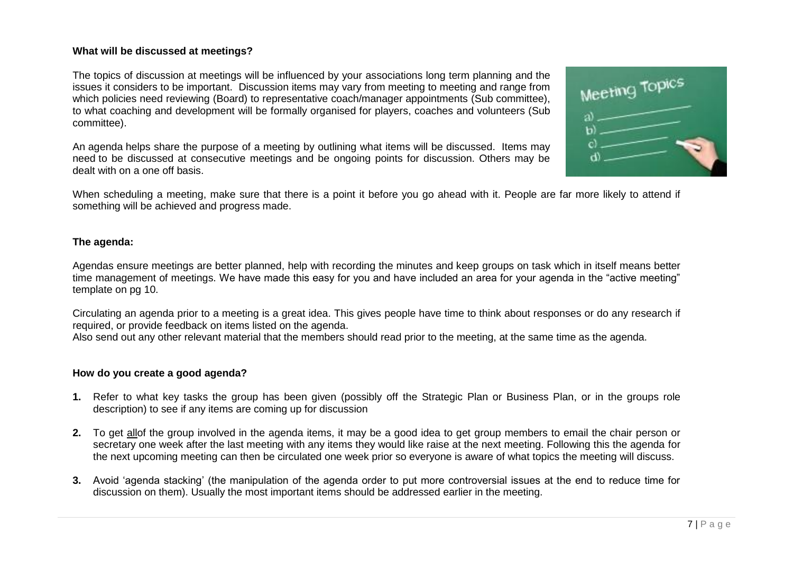#### **What will be discussed at meetings?**

The topics of discussion at meetings will be influenced by your associations long term planning and the issues it considers to be important. Discussion items may vary from meeting to meeting and range from which policies need reviewing (Board) to representative coach/manager appointments (Sub committee), to what coaching and development will be formally organised for players, coaches and volunteers (Sub committee).

An agenda helps share the purpose of a meeting by outlining what items will be discussed. Items may need to be discussed at consecutive meetings and be ongoing points for discussion. Others may be dealt with on a one off basis.



When scheduling a meeting, make sure that there is a point it before you go ahead with it. People are far more likely to attend if something will be achieved and progress made.

#### **The agenda:**

Agendas ensure meetings are better planned, help with recording the minutes and keep groups on task which in itself means better time management of meetings. We have made this easy for you and have included an area for your agenda in the "active meeting" template on pg 10.

Circulating an agenda prior to a meeting is a great idea. This gives people have time to think about responses or do any research if required, or provide feedback on items listed on the agenda.

Also send out any other relevant material that the members should read prior to the meeting, at the same time as the agenda.

#### **How do you create a good agenda?**

- **1.** Refer to what key tasks the group has been given (possibly off the Strategic Plan or Business Plan, or in the groups role description) to see if any items are coming up for discussion
- **2.** To get allof the group involved in the agenda items, it may be a good idea to get group members to email the chair person or secretary one week after the last meeting with any items they would like raise at the next meeting. Following this the agenda for the next upcoming meeting can then be circulated one week prior so everyone is aware of what topics the meeting will discuss.
- **3.** Avoid 'agenda stacking' (the manipulation of the agenda order to put more controversial issues at the end to reduce time for discussion on them). Usually the most important items should be addressed earlier in the meeting.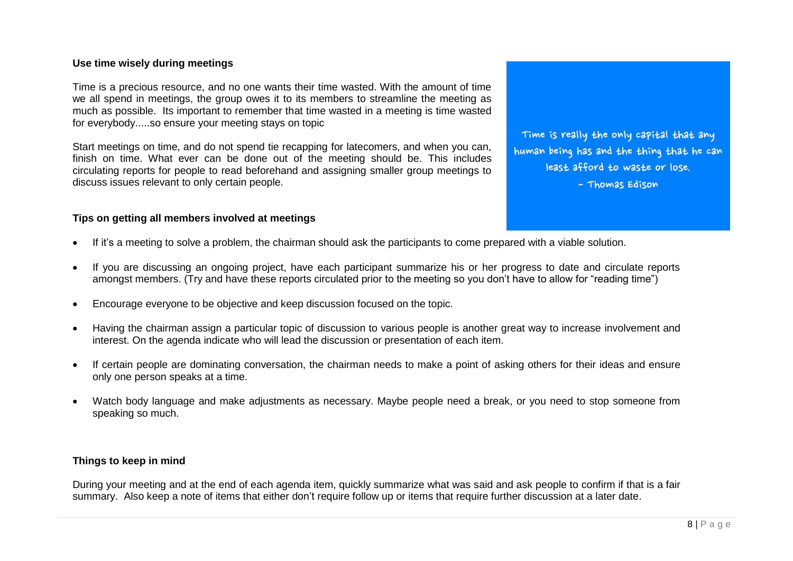#### **Use time wisely during meetings**

Time is a precious resource, and no one wants their time wasted. With the amount of time we all spend in meetings, the group owes it to its members to streamline the meeting as much as possible. Its important to remember that time wasted in a meeting is time wasted for everybody.....so ensure your meeting stays on topic

Start meetings on time, and do not spend tie recapping for latecomers, and when you can, finish on time. What ever can be done out of the meeting should be. This includes circulating reports for people to read beforehand and assigning smaller group meetings to discuss issues relevant to only certain people.

#### **Tips on getting all members involved at meetings**

- If it's a meeting to solve a problem, the chairman should ask the participants to come prepared with a viable solution.
- If you are discussing an ongoing project, have each participant summarize his or her progress to date and circulate reports amongst members. (Try and have these reports circulated prior to the meeting so you don't have to allow for "reading time")
- Encourage everyone to be objective and keep discussion focused on the topic.
- Having the chairman assign a particular topic of discussion to various people is another great way to increase involvement and interest. On the agenda indicate who will lead the discussion or presentation of each item.
- If certain people are dominating conversation, the chairman needs to make a point of asking others for their ideas and ensure only one person speaks at a time.
- Watch body language and make adjustments as necessary. Maybe people need a break, or you need to stop someone from speaking so much.

#### **Things to keep in mind**

During your meeting and at the end of each agenda item, quickly summarize what was said and ask people to confirm if that is a fair summary. Also keep a note of items that either don't require follow up or items that require further discussion at a later date.

8 | P a g e

Time is really the only capital that any human being has and the thing that he can least afford to waste or lose.

- Thomas Edison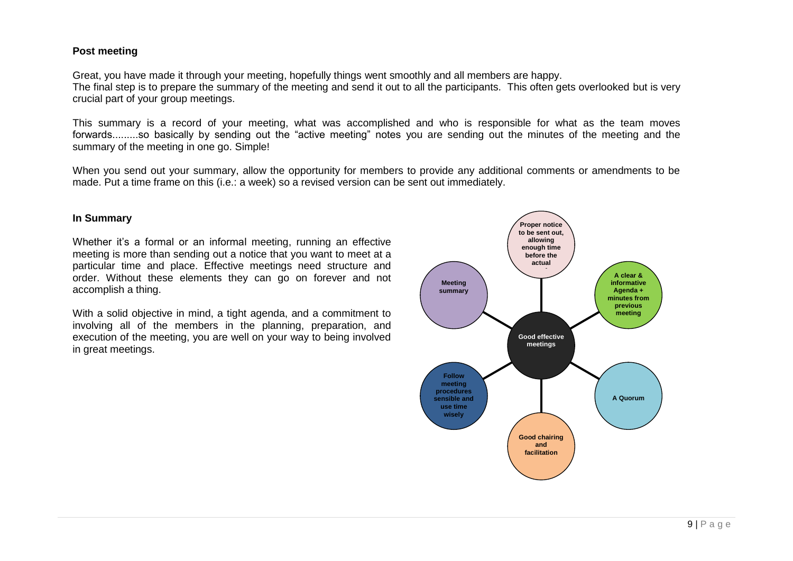#### **Post meeting**

Great, you have made it through your meeting, hopefully things went smoothly and all members are happy. The final step is to prepare the summary of the meeting and send it out to all the participants. This often gets overlooked but is very crucial part of your group meetings.

This summary is a record of your meeting, what was accomplished and who is responsible for what as the team moves forwards.........so basically by sending out the "active meeting" notes you are sending out the minutes of the meeting and the summary of the meeting in one go. Simple!

When you send out your summary, allow the opportunity for members to provide any additional comments or amendments to be made. Put a time frame on this (i.e.: a week) so a revised version can be sent out immediately.

#### **In Summary**

Whether it's a formal or an informal meeting, running an effective meeting is more than sending out a notice that you want to meet at a particular time and place. Effective meetings need structure and order. Without these elements they can go on forever and not accomplish a thing.

With a solid objective in mind, a tight agenda, and a commitment to involving all of the members in the planning, preparation, and execution of the meeting, you are well on your way to being involved in great meetings.

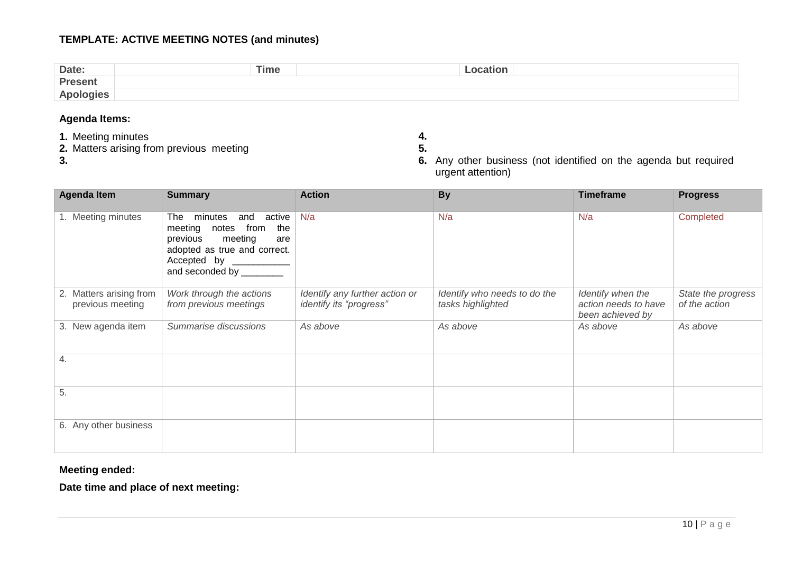# **TEMPLATE: ACTIVE MEETING NOTES (and minutes)**

| Date:    | <b>Time</b> | ocation. |  |
|----------|-------------|----------|--|
| Present  |             |          |  |
| <b>A</b> |             |          |  |

# **Agenda Items:**

- 
- **1.** Meeting minutes **4. 2.** Matters arising from previous meeting **5.**
- 

**3. 6.** Any other business (not identified on the agenda but required urgent attention)

| <b>Agenda Item</b>                          | <b>Summary</b>                                                                                                                                                                              | <b>Action</b>                                             | <b>By</b>                                         | <b>Timeframe</b>                                              | <b>Progress</b>                     |
|---------------------------------------------|---------------------------------------------------------------------------------------------------------------------------------------------------------------------------------------------|-----------------------------------------------------------|---------------------------------------------------|---------------------------------------------------------------|-------------------------------------|
| 1. Meeting minutes                          | minutes<br>active<br>and<br>The l<br>meeting<br>from<br>the<br>notes<br>previous<br>meeting<br>are<br>adopted as true and correct.<br>Accepted by ____________<br>and seconded by _________ | N/a                                                       | N/a                                               | N/a                                                           | Completed                           |
| 2. Matters arising from<br>previous meeting | Work through the actions<br>from previous meetings                                                                                                                                          | Identify any further action or<br>identify its "progress" | Identify who needs to do the<br>tasks highlighted | Identify when the<br>action needs to have<br>been achieved by | State the progress<br>of the action |
| 3. New agenda item                          | Summarise discussions                                                                                                                                                                       | As above                                                  | As above                                          | As above                                                      | As above                            |
| 4.                                          |                                                                                                                                                                                             |                                                           |                                                   |                                                               |                                     |
| 5.                                          |                                                                                                                                                                                             |                                                           |                                                   |                                                               |                                     |
| 6. Any other business                       |                                                                                                                                                                                             |                                                           |                                                   |                                                               |                                     |

# **Meeting ended:**

**Date time and place of next meeting:**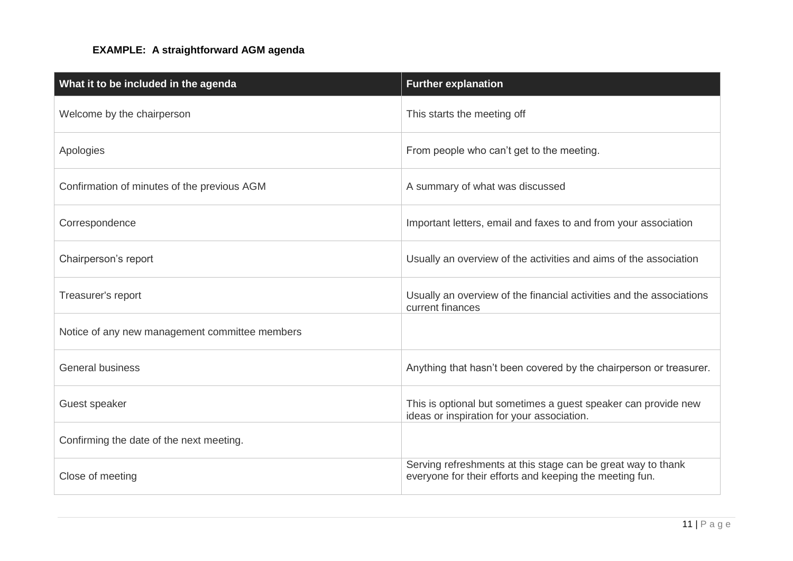# **EXAMPLE: A straightforward AGM agenda**

| What it to be included in the agenda           | <b>Further explanation</b>                                                                                              |  |  |
|------------------------------------------------|-------------------------------------------------------------------------------------------------------------------------|--|--|
| Welcome by the chairperson                     | This starts the meeting off                                                                                             |  |  |
| Apologies                                      | From people who can't get to the meeting.                                                                               |  |  |
| Confirmation of minutes of the previous AGM    | A summary of what was discussed                                                                                         |  |  |
| Correspondence                                 | Important letters, email and faxes to and from your association                                                         |  |  |
| Chairperson's report                           | Usually an overview of the activities and aims of the association                                                       |  |  |
| Treasurer's report                             | Usually an overview of the financial activities and the associations<br>current finances                                |  |  |
| Notice of any new management committee members |                                                                                                                         |  |  |
| <b>General business</b>                        | Anything that hasn't been covered by the chairperson or treasurer.                                                      |  |  |
| Guest speaker                                  | This is optional but sometimes a guest speaker can provide new<br>ideas or inspiration for your association.            |  |  |
| Confirming the date of the next meeting.       |                                                                                                                         |  |  |
| Close of meeting                               | Serving refreshments at this stage can be great way to thank<br>everyone for their efforts and keeping the meeting fun. |  |  |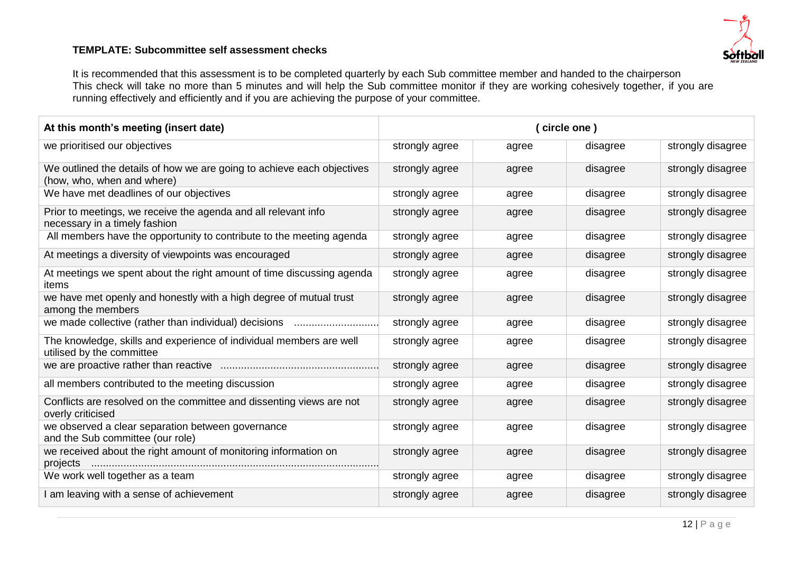

# **TEMPLATE: Subcommittee self assessment checks**

It is recommended that this assessment is to be completed quarterly by each Sub committee member and handed to the chairperson This check will take no more than 5 minutes and will help the Sub committee monitor if they are working cohesively together, if you are running effectively and efficiently and if you are achieving the purpose of your committee.

| At this month's meeting (insert date)                                                                | ( circle one ) |       |          |                   |
|------------------------------------------------------------------------------------------------------|----------------|-------|----------|-------------------|
| we prioritised our objectives                                                                        | strongly agree | agree | disagree | strongly disagree |
| We outlined the details of how we are going to achieve each objectives<br>(how, who, when and where) | strongly agree | agree | disagree | strongly disagree |
| We have met deadlines of our objectives                                                              | strongly agree | agree | disagree | strongly disagree |
| Prior to meetings, we receive the agenda and all relevant info<br>necessary in a timely fashion      | strongly agree | agree | disagree | strongly disagree |
| All members have the opportunity to contribute to the meeting agenda                                 | strongly agree | agree | disagree | strongly disagree |
| At meetings a diversity of viewpoints was encouraged                                                 | strongly agree | agree | disagree | strongly disagree |
| At meetings we spent about the right amount of time discussing agenda<br>items                       | strongly agree | agree | disagree | strongly disagree |
| we have met openly and honestly with a high degree of mutual trust<br>among the members              | strongly agree | agree | disagree | strongly disagree |
| we made collective (rather than individual) decisions                                                | strongly agree | agree | disagree | strongly disagree |
| The knowledge, skills and experience of individual members are well<br>utilised by the committee     | strongly agree | agree | disagree | strongly disagree |
|                                                                                                      | strongly agree | agree | disagree | strongly disagree |
| all members contributed to the meeting discussion                                                    | strongly agree | agree | disagree | strongly disagree |
| Conflicts are resolved on the committee and dissenting views are not<br>overly criticised            | strongly agree | agree | disagree | strongly disagree |
| we observed a clear separation between governance<br>and the Sub committee (our role)                | strongly agree | agree | disagree | strongly disagree |
| we received about the right amount of monitoring information on<br>projects                          | strongly agree | agree | disagree | strongly disagree |
| We work well together as a team                                                                      | strongly agree | agree | disagree | strongly disagree |
| I am leaving with a sense of achievement                                                             | strongly agree | agree | disagree | strongly disagree |